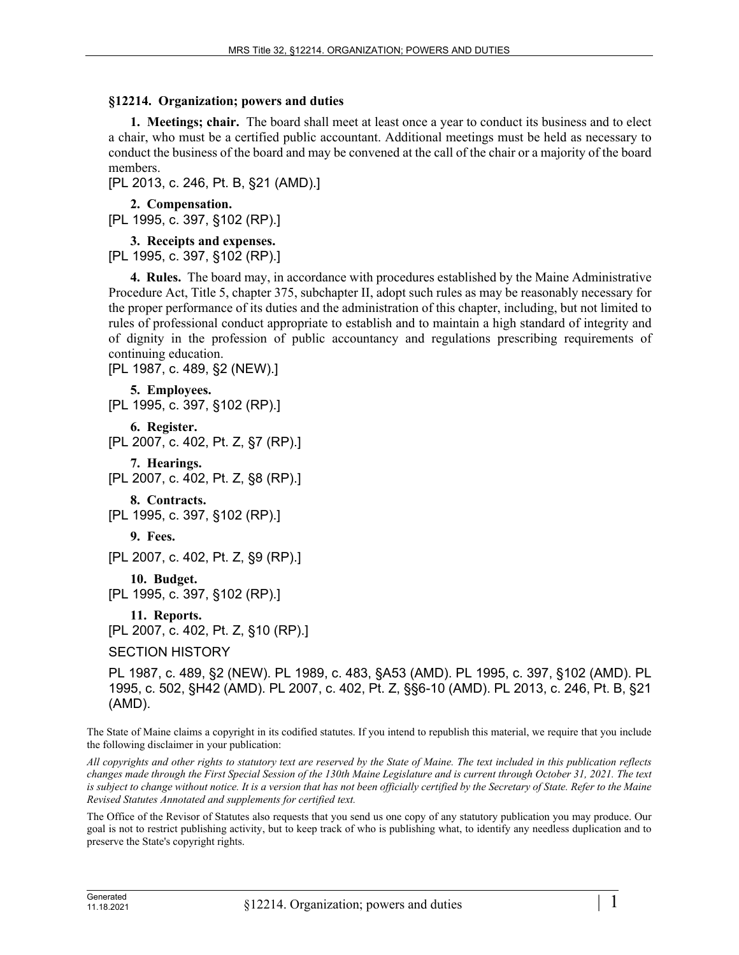## **§12214. Organization; powers and duties**

**1. Meetings; chair.** The board shall meet at least once a year to conduct its business and to elect a chair, who must be a certified public accountant. Additional meetings must be held as necessary to conduct the business of the board and may be convened at the call of the chair or a majority of the board members.

[PL 2013, c. 246, Pt. B, §21 (AMD).]

**2. Compensation.**  [PL 1995, c. 397, §102 (RP).]

**3. Receipts and expenses.** 

[PL 1995, c. 397, §102 (RP).]

**4. Rules.** The board may, in accordance with procedures established by the Maine Administrative Procedure Act, Title 5, chapter 375, subchapter II, adopt such rules as may be reasonably necessary for the proper performance of its duties and the administration of this chapter, including, but not limited to rules of professional conduct appropriate to establish and to maintain a high standard of integrity and of dignity in the profession of public accountancy and regulations prescribing requirements of continuing education.

[PL 1987, c. 489, §2 (NEW).]

```
5. Employees. 
[PL 1995, c. 397, §102 (RP).]
    6. Register. 
[PL 2007, c. 402, Pt. Z, §7 (RP).]
    7. Hearings. 
[PL 2007, c. 402, Pt. Z, §8 (RP).]
    8. Contracts. 
[PL 1995, c. 397, §102 (RP).]
   9. Fees. 
[PL 2007, c. 402, Pt. Z, §9 (RP).]
    10. Budget. 
[PL 1995, c. 397, §102 (RP).]
    11. Reports. 
[PL 2007, c. 402, Pt. Z, §10 (RP).]
SECTION HISTORY
```
PL 1987, c. 489, §2 (NEW). PL 1989, c. 483, §A53 (AMD). PL 1995, c. 397, §102 (AMD). PL 1995, c. 502, §H42 (AMD). PL 2007, c. 402, Pt. Z, §§6-10 (AMD). PL 2013, c. 246, Pt. B, §21 (AMD).

The State of Maine claims a copyright in its codified statutes. If you intend to republish this material, we require that you include the following disclaimer in your publication:

*All copyrights and other rights to statutory text are reserved by the State of Maine. The text included in this publication reflects changes made through the First Special Session of the 130th Maine Legislature and is current through October 31, 2021. The text*  is subject to change without notice. It is a version that has not been officially certified by the Secretary of State. Refer to the Maine *Revised Statutes Annotated and supplements for certified text.*

The Office of the Revisor of Statutes also requests that you send us one copy of any statutory publication you may produce. Our goal is not to restrict publishing activity, but to keep track of who is publishing what, to identify any needless duplication and to preserve the State's copyright rights.